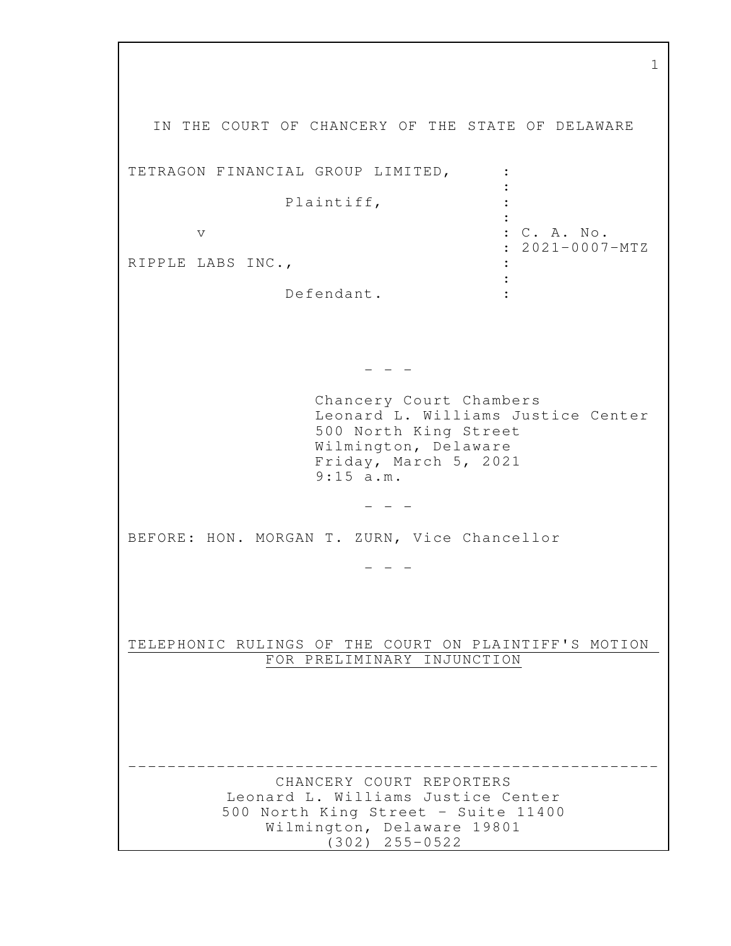IN THE COURT OF CHANCERY OF THE STATE OF DELAWARE TETRAGON FINANCIAL GROUP LIMITED, :  $\cdot$ Plaintiff, the contract of the contract of the contract of the contract of the contract of the contract of the contract of v : C. A. No. : 2021-0007-MTZ RIPPLE LABS INC., **Service State State** Defendant. :  $-$  Chancery Court Chambers Leonard L. Williams Justice Center 500 North King Street Wilmington, Delaware Friday, March 5, 2021 9:15 a.m.  $-$ BEFORE: HON. MORGAN T. ZURN, Vice Chancellor  $-$ TELEPHONIC RULINGS OF THE COURT ON PLAINTIFF'S MOTION FOR PRELIMINARY INJUNCTION ------------------------------------------------------ CHANCERY COURT REPORTERS Leonard L. Williams Justice Center 500 North King Street - Suite 11400 Wilmington, Delaware 19801 (302) 255-0522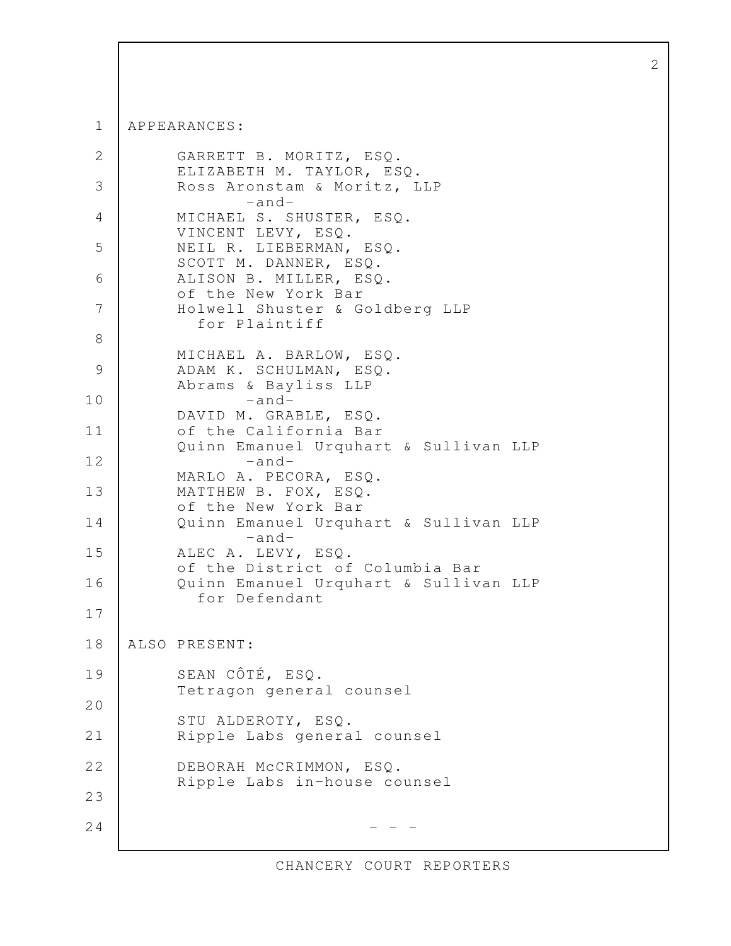APPEARANCES: 1

```
 GARRETT B. MORITZ, ESQ. 
          ELIZABETH M. TAYLOR, ESQ.
           Ross Aronstam & Moritz, LLP 
                   -and-
           MICHAEL S. SHUSTER, ESQ. 
          VINCENT LEVY, ESQ.
           NEIL R. LIEBERMAN, ESQ. 
           SCOTT M. DANNER, ESQ. 
           ALISON B. MILLER, ESQ. 
           of the New York Bar 
          Holwell Shuster & Goldberg LLP
             for Plaintiff 
           MICHAEL A. BARLOW, ESQ. 
          ADAM K. SCHULMAN, ESQ.
           Abrams & Bayliss LLP 
                   -and-
           DAVID M. GRABLE, ESQ. 
           of the California Bar 
           Quinn Emanuel Urquhart & Sullivan LLP 
                   -and- 
           MARLO A. PECORA, ESQ. 
           MATTHEW B. FOX, ESQ. 
           of the New York Bar 
          Quinn Emanuel Urquhart & Sullivan LLP
                   -and-
          ALEC A. LEVY, ESQ.
           of the District of Columbia Bar 
          Quinn Emanuel Urquhart & Sullivan LLP
             for Defendant 
    ALSO PRESENT: 
           SEAN CÔTÉ, ESQ. 
           Tetragon general counsel 
          STU ALDEROTY, ESQ.
          Ripple Labs general counsel 
           DEBORAH McCRIMMON, ESQ. 
           Ripple Labs in-house counsel 
                                - - - 2
  3
  4
  5
  6
  7
  8
  9
10
11
12
13
14
15
16
17
18
19
20
21
22
23
24
```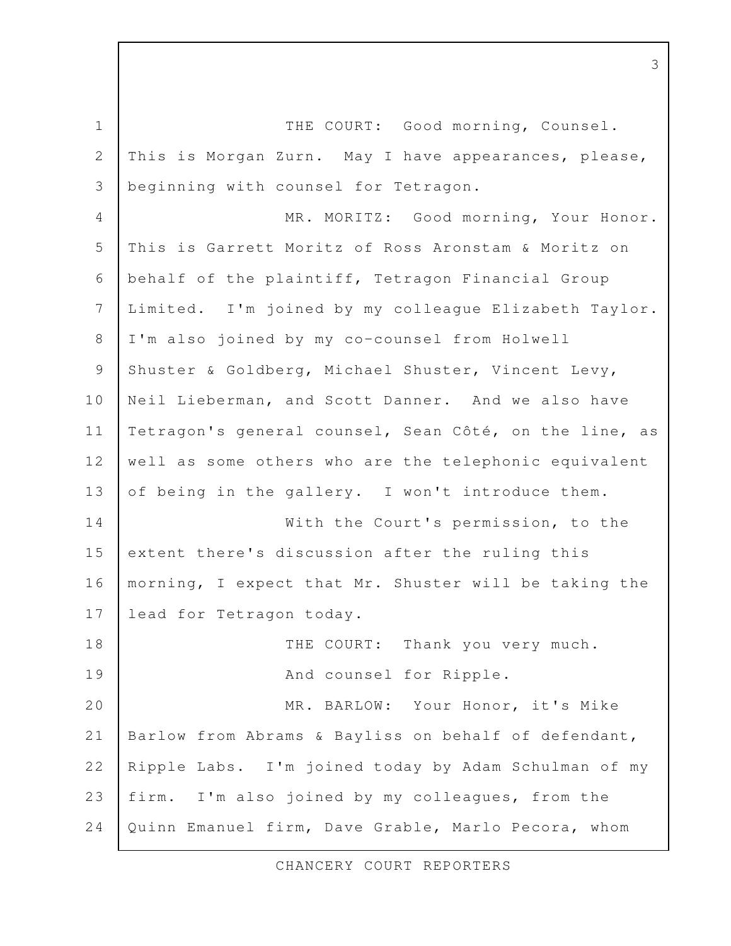THE COURT: Good morning, Counsel. This is Morgan Zurn. May I have appearances, please, beginning with counsel for Tetragon. MR. MORITZ: Good morning, Your Honor. This is Garrett Moritz of Ross Aronstam & Moritz on behalf of the plaintiff, Tetragon Financial Group Limited. I'm joined by my colleague Elizabeth Taylor. I'm also joined by my co-counsel from Holwell Shuster & Goldberg, Michael Shuster, Vincent Levy, Neil Lieberman, and Scott Danner. And we also have Tetragon's general counsel, Sean Côté, on the line, as well as some others who are the telephonic equivalent of being in the gallery. I won't introduce them. With the Court's permission, to the extent there's discussion after the ruling this morning, I expect that Mr. Shuster will be taking the lead for Tetragon today. THE COURT: Thank you very much. And counsel for Ripple. MR. BARLOW: Your Honor, it's Mike Barlow from Abrams & Bayliss on behalf of defendant, Ripple Labs. I'm joined today by Adam Schulman of my firm. I'm also joined by my colleagues, from the Quinn Emanuel firm, Dave Grable, Marlo Pecora, whom 1 2 3 4 5 6 7 8 9 10 11 12 13 14 15 16 17 18 19 20 21 22 23 24

3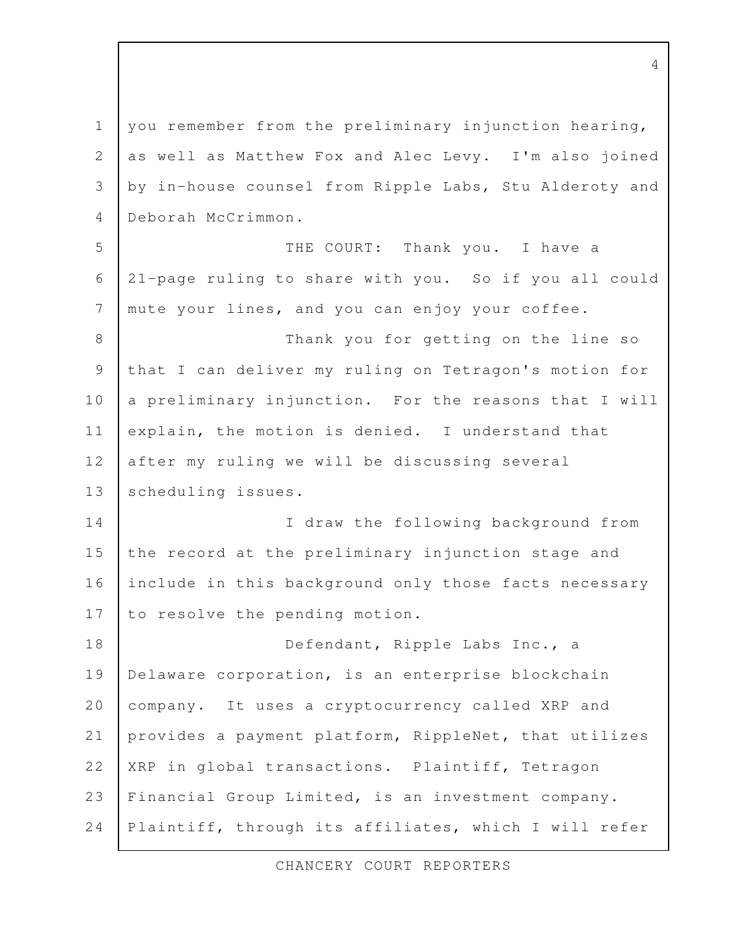you remember from the preliminary injunction hearing, as well as Matthew Fox and Alec Levy. I'm also joined by in-house counsel from Ripple Labs, Stu Alderoty and Deborah McCrimmon. THE COURT: Thank you. I have a 21-page ruling to share with you. So if you all could mute your lines, and you can enjoy your coffee. Thank you for getting on the line so that I can deliver my ruling on Tetragon's motion for a preliminary injunction. For the reasons that I will explain, the motion is denied. I understand that after my ruling we will be discussing several scheduling issues. I draw the following background from the record at the preliminary injunction stage and include in this background only those facts necessary to resolve the pending motion. Defendant, Ripple Labs Inc., a Delaware corporation, is an enterprise blockchain company. It uses a cryptocurrency called XRP and provides a payment platform, RippleNet, that utilizes XRP in global transactions. Plaintiff, Tetragon Financial Group Limited, is an investment company. Plaintiff, through its affiliates, which I will refer 1 2 3 4 5 6 7 8 9 10 11 12 13 14 15 16 17 18 19 20 21 22 23 24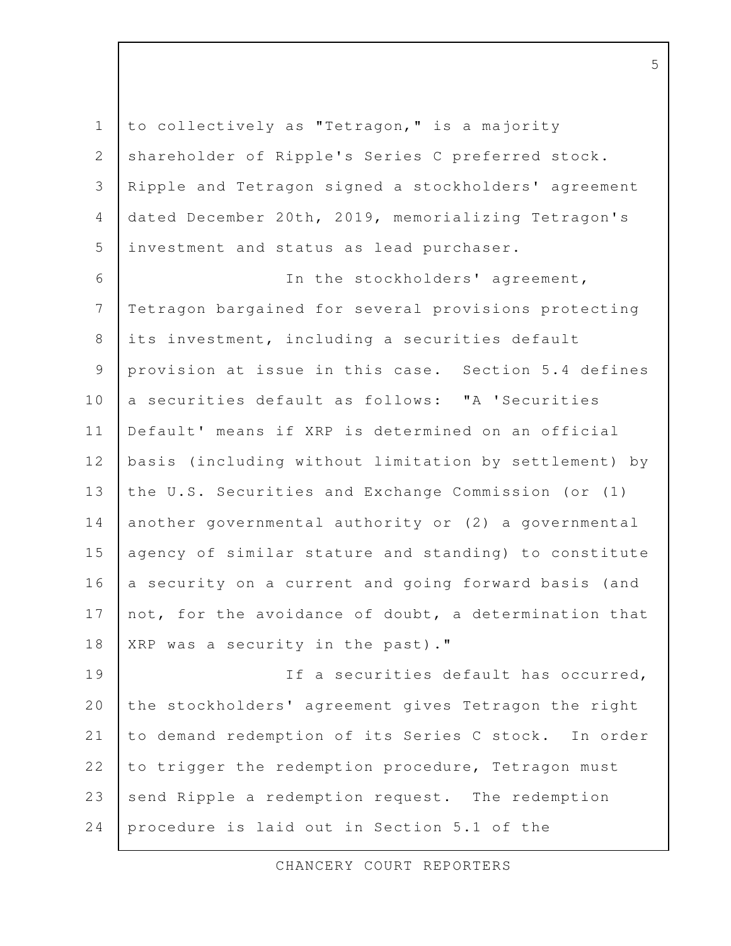to collectively as "Tetragon," is a majority shareholder of Ripple's Series C preferred stock. Ripple and Tetragon signed a stockholders' agreement dated December 20th, 2019, memorializing Tetragon's investment and status as lead purchaser. In the stockholders' agreement, Tetragon bargained for several provisions protecting its investment, including a securities default provision at issue in this case. Section 5.4 defines a securities default as follows: "A 'Securities Default' means if XRP is determined on an official basis (including without limitation by settlement) by the U.S. Securities and Exchange Commission (or (1) another governmental authority or (2) a governmental agency of similar stature and standing) to constitute a security on a current and going forward basis (and not, for the avoidance of doubt, a determination that XRP was a security in the past)." If a securities default has occurred, the stockholders' agreement gives Tetragon the right to demand redemption of its Series C stock. In order to trigger the redemption procedure, Tetragon must send Ripple a redemption request. The redemption procedure is laid out in Section 5.1 of the 1 2 3 4 5 6 7 8 9 10 11 12 13 14 15 16 17 18 19 20 21 22 23 24

CHANCERY COURT REPORTERS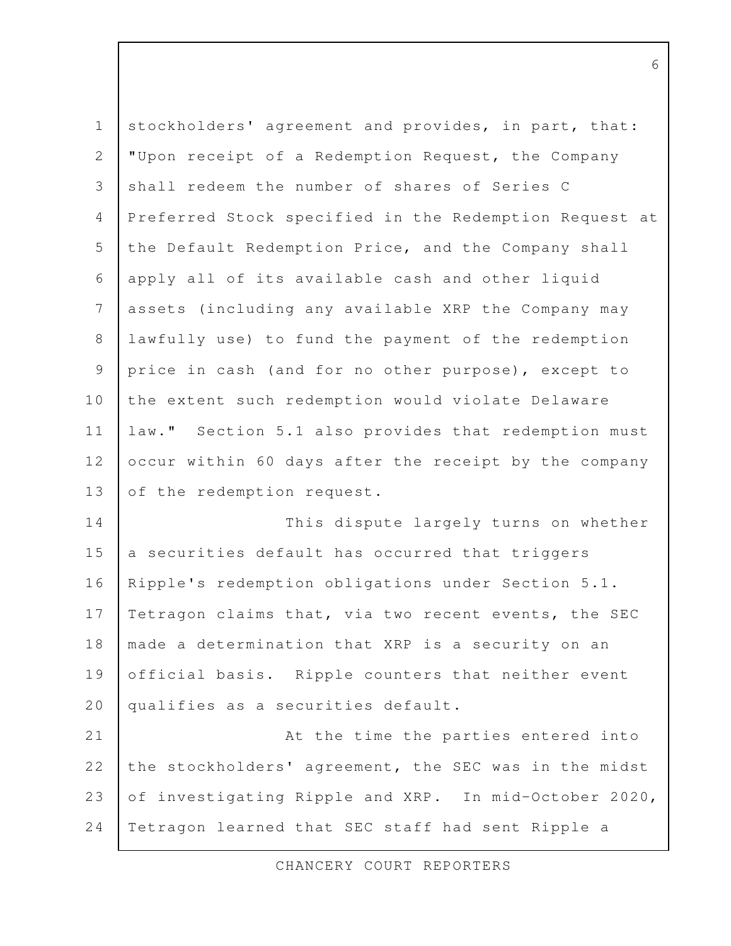| $\mathbf 1$ | stockholders' agreement and provides, in part, that:   |
|-------------|--------------------------------------------------------|
| 2           | "Upon receipt of a Redemption Request, the Company     |
| 3           | shall redeem the number of shares of Series C          |
| 4           | Preferred Stock specified in the Redemption Request at |
| 5           | the Default Redemption Price, and the Company shall    |
| 6           | apply all of its available cash and other liquid       |
| 7           | assets (including any available XRP the Company may    |
| 8           | lawfully use) to fund the payment of the redemption    |
| 9           | price in cash (and for no other purpose), except to    |
| 10          | the extent such redemption would violate Delaware      |
| 11          | law." Section 5.1 also provides that redemption must   |
| 12          | occur within 60 days after the receipt by the company  |
| 13          | of the redemption request.                             |
| 14          | This dispute largely turns on whether                  |
| 15          | a securities default has occurred that triggers        |
| 16          | Ripple's redemption obligations under Section 5.1.     |
| 17          | Tetragon claims that, via two recent events, the SEC   |
| 18          | made a determination that XRP is a security on an      |
| 19          | official basis. Ripple counters that neither event     |
| 20          | qualifies as a securities default.                     |
| 21          | At the time the parties entered into                   |
| 22          | the stockholders' agreement, the SEC was in the midst  |
| 23          | of investigating Ripple and XRP. In mid-October 2020,  |
| 24          | Tetragon learned that SEC staff had sent Ripple a      |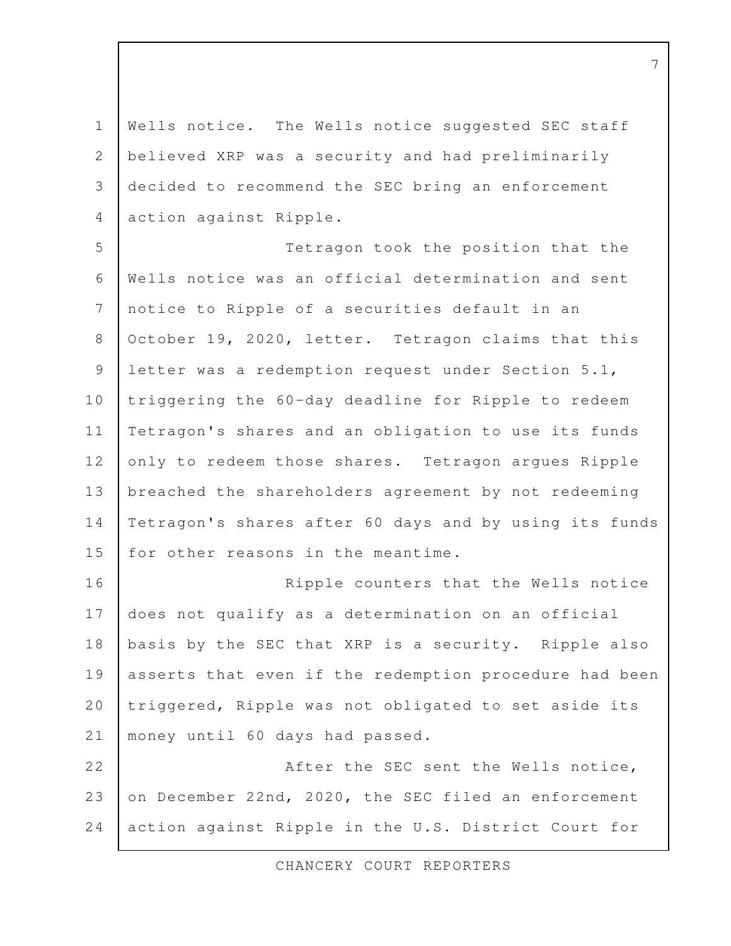Wells notice. The Wells notice suggested SEC staff believed XRP was a security and had preliminarily decided to recommend the SEC bring an enforcement action against Ripple. Tetragon took the position that the Wells notice was an official determination and sent notice to Ripple of a securities default in an October 19, 2020, letter. Tetragon claims that this letter was a redemption request under Section 5.1, triggering the 60-day deadline for Ripple to redeem Tetragon's shares and an obligation to use its funds only to redeem those shares. Tetragon argues Ripple breached the shareholders agreement by not redeeming Tetragon's shares after 60 days and by using its funds for other reasons in the meantime. Ripple counters that the Wells notice does not qualify as a determination on an official basis by the SEC that XRP is a security. Ripple also asserts that even if the redemption procedure had been triggered, Ripple was not obligated to set aside its money until 60 days had passed. After the SEC sent the Wells notice, 1 2 3 4 5 6 7 8 9 10 11 12 13 14 15 16 17 18 19 20 21 22 23

on December 22nd, 2020, the SEC filed an enforcement action against Ripple in the U.S. District Court for 24

CHANCERY COURT REPORTERS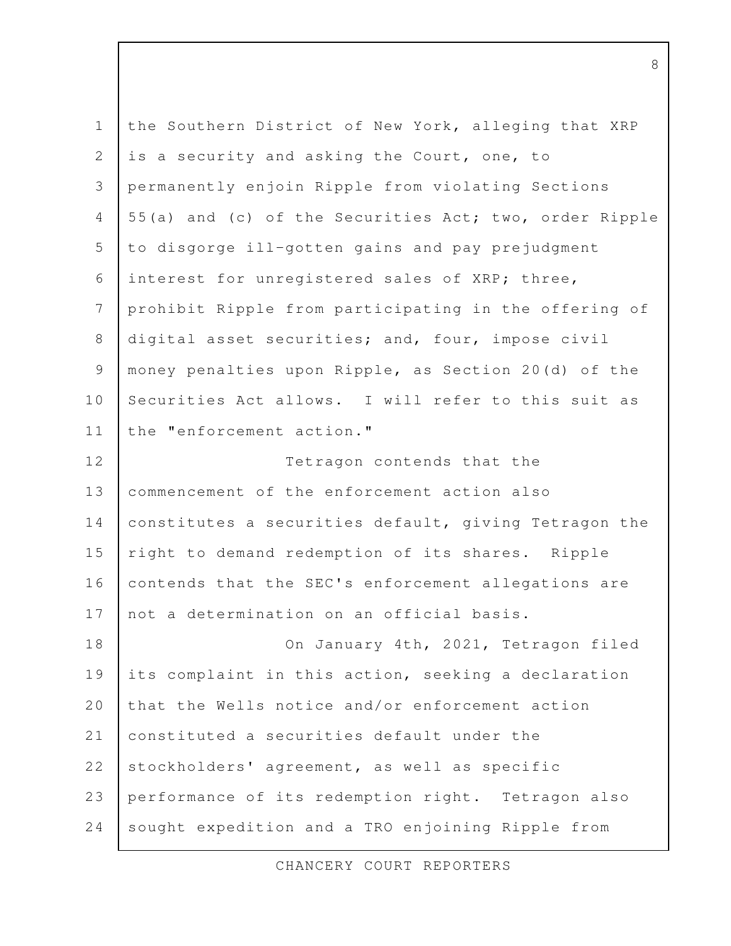| $\mathbf 1$    | the Southern District of New York, alleging that XRP   |
|----------------|--------------------------------------------------------|
| $\mathbf{2}$   | is a security and asking the Court, one, to            |
| 3              | permanently enjoin Ripple from violating Sections      |
| 4              | 55(a) and (c) of the Securities Act; two, order Ripple |
| 5              | to disgorge ill-gotten gains and pay prejudgment       |
| $\sqrt{6}$     | interest for unregistered sales of XRP; three,         |
| 7              | prohibit Ripple from participating in the offering of  |
| $8\,$          | digital asset securities; and, four, impose civil      |
| $\overline{9}$ | money penalties upon Ripple, as Section 20(d) of the   |
| 10             | Securities Act allows. I will refer to this suit as    |
| 11             | the "enforcement action."                              |
| 12             | Tetragon contends that the                             |
| 13             | commencement of the enforcement action also            |
| 14             | constitutes a securities default, giving Tetragon the  |
| 15             | right to demand redemption of its shares. Ripple       |
| 16             | contends that the SEC's enforcement allegations are    |
| 17             | not a determination on an official basis.              |
| 18             | On January 4th, 2021, Tetragon filed                   |
| 19             | its complaint in this action, seeking a declaration    |
| 20             | that the Wells notice and/or enforcement action        |
| 21             | constituted a securities default under the             |
| 22             | stockholders' agreement, as well as specific           |
| 23             | performance of its redemption right. Tetragon also     |
| 24             | sought expedition and a TRO enjoining Ripple from      |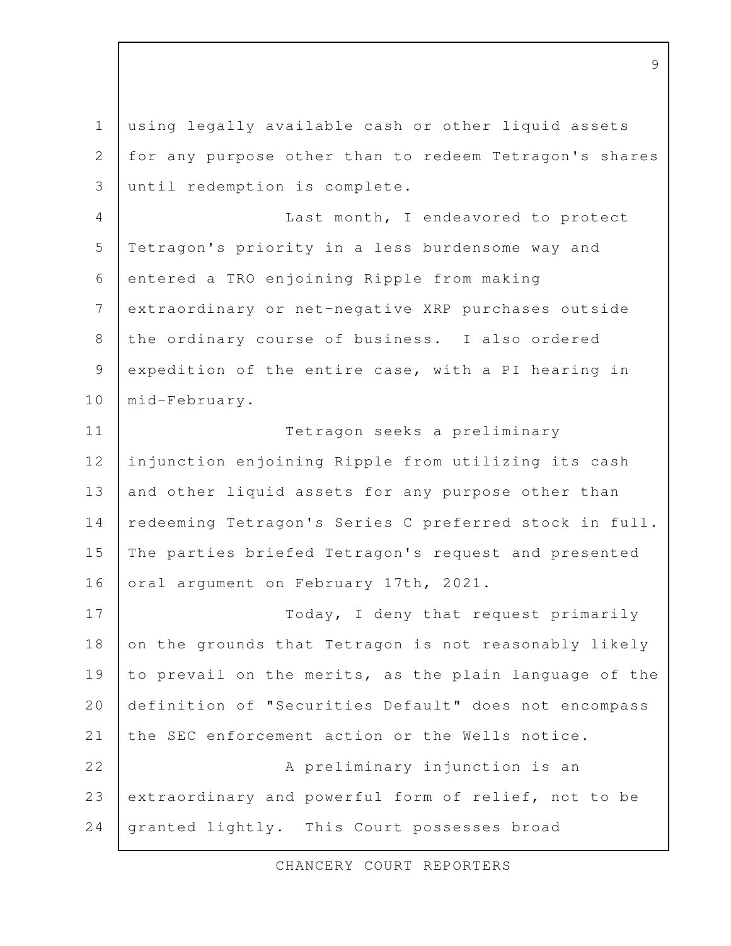using legally available cash or other liquid assets for any purpose other than to redeem Tetragon's shares until redemption is complete. Last month, I endeavored to protect Tetragon's priority in a less burdensome way and entered a TRO enjoining Ripple from making extraordinary or net-negative XRP purchases outside the ordinary course of business. I also ordered expedition of the entire case, with a PI hearing in mid-February. Tetragon seeks a preliminary injunction enjoining Ripple from utilizing its cash and other liquid assets for any purpose other than redeeming Tetragon's Series C preferred stock in full. The parties briefed Tetragon's request and presented oral argument on February 17th, 2021. Today, I deny that request primarily on the grounds that Tetragon is not reasonably likely to prevail on the merits, as the plain language of the definition of "Securities Default" does not encompass the SEC enforcement action or the Wells notice. A preliminary injunction is an extraordinary and powerful form of relief, not to be granted lightly. This Court possesses broad 1 2 3 4 5 6 7 8 9 10 11 12 13 14 15 16 17 18 19 20 21 22 23 24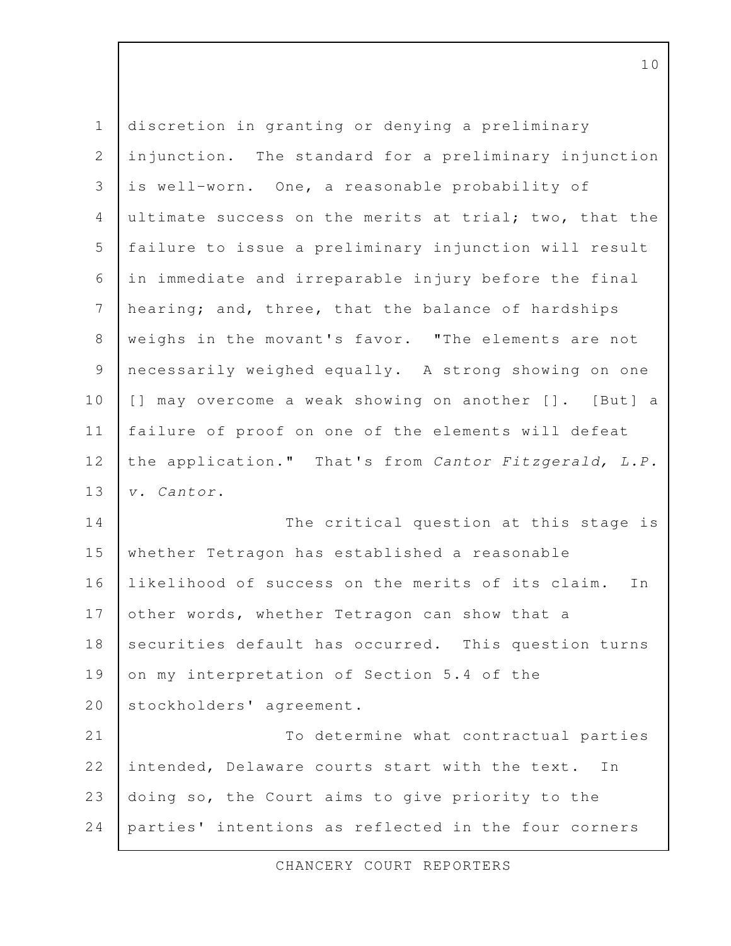| $\mathbf 1$    | discretion in granting or denying a preliminary         |
|----------------|---------------------------------------------------------|
| $\mathbf{2}$   | injunction. The standard for a preliminary injunction   |
| 3              | is well-worn. One, a reasonable probability of          |
| $\overline{4}$ | ultimate success on the merits at trial; two, that the  |
| 5              | failure to issue a preliminary injunction will result   |
| $\sqrt{6}$     | in immediate and irreparable injury before the final    |
| $\overline{7}$ | hearing; and, three, that the balance of hardships      |
| $\,8\,$        | weighs in the movant's favor. "The elements are not     |
| $\mathsf 9$    | necessarily weighed equally. A strong showing on one    |
| 10             | [] may overcome a weak showing on another []. [But] a   |
| 11             | failure of proof on one of the elements will defeat     |
| 12             | the application." That's from Cantor Fitzgerald, L.P.   |
| 13             | v. Cantor.                                              |
| 14             | The critical question at this stage is                  |
| 15             | whether Tetragon has established a reasonable           |
| 16             | likelihood of success on the merits of its claim.<br>In |
| 17             | other words, whether Tetragon can show that a           |
| 18             | securities default has occurred. This question turns    |
| 19             | on my interpretation of Section 5.4 of the              |
| 20             | stockholders' agreement.                                |
| 21             | To determine what contractual parties                   |
| 22             | intended, Delaware courts start with the text.<br>Ιn    |
| 23             | doing so, the Court aims to give priority to the        |
| 24             | parties' intentions as reflected in the four corners    |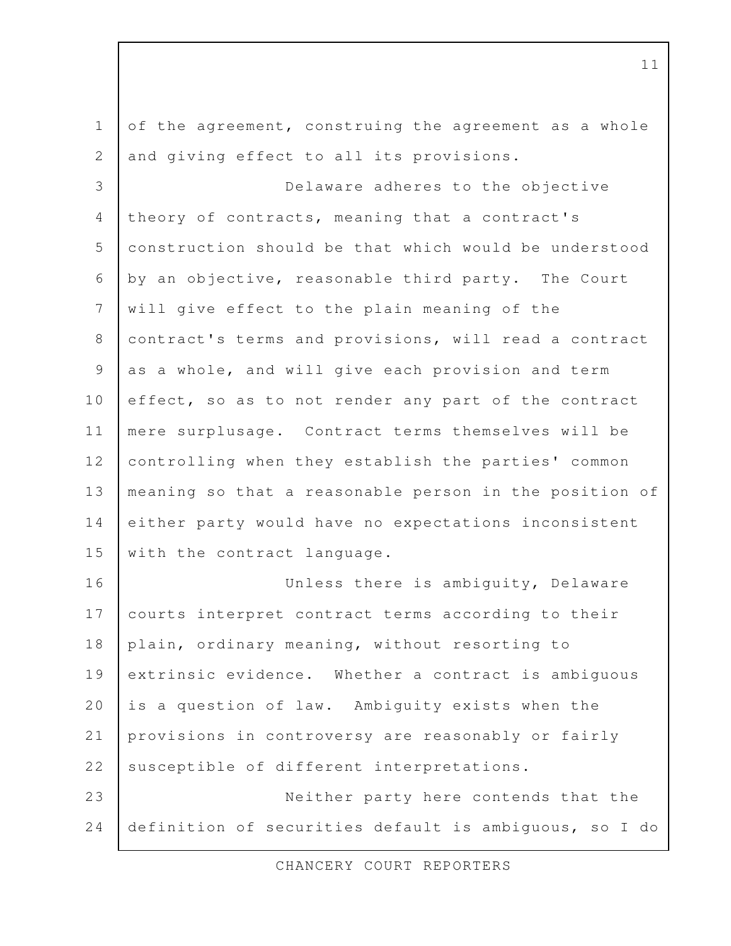of the agreement, construing the agreement as a whole and giving effect to all its provisions. Delaware adheres to the objective theory of contracts, meaning that a contract's construction should be that which would be understood by an objective, reasonable third party. The Court will give effect to the plain meaning of the contract's terms and provisions, will read a contract as a whole, and will give each provision and term effect, so as to not render any part of the contract mere surplusage. Contract terms themselves will be controlling when they establish the parties' common meaning so that a reasonable person in the position of either party would have no expectations inconsistent with the contract language. Unless there is ambiguity, Delaware courts interpret contract terms according to their plain, ordinary meaning, without resorting to extrinsic evidence. Whether a contract is ambiguous is a question of law. Ambiguity exists when the provisions in controversy are reasonably or fairly susceptible of different interpretations. Neither party here contends that the definition of securities default is ambiguous, so I do 1 2 3 4 5 6 7 8 9 10 11 12 13 14 15 16 17 18 19 20 21 22 23 24

CHANCERY COURT REPORTERS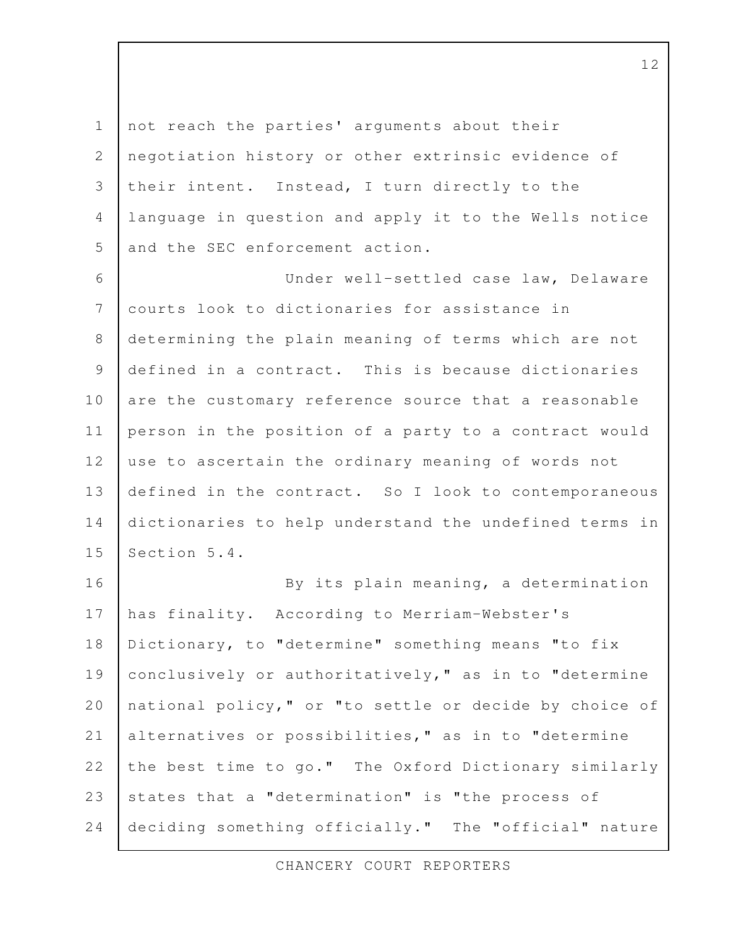not reach the parties' arguments about their negotiation history or other extrinsic evidence of their intent. Instead, I turn directly to the language in question and apply it to the Wells notice and the SEC enforcement action. Under well-settled case law, Delaware courts look to dictionaries for assistance in determining the plain meaning of terms which are not defined in a contract. This is because dictionaries are the customary reference source that a reasonable person in the position of a party to a contract would use to ascertain the ordinary meaning of words not defined in the contract. So I look to contemporaneous dictionaries to help understand the undefined terms in Section 5.4. By its plain meaning, a determination has finality. According to Merriam-Webster's Dictionary, to "determine" something means "to fix conclusively or authoritatively," as in to "determine national policy," or "to settle or decide by choice of alternatives or possibilities," as in to "determine the best time to go." The Oxford Dictionary similarly states that a "determination" is "the process of deciding something officially." The "official" nature 1 2 3 4 5 6 7 8 9 10 11 12 13 14 15 16 17 18 19 20 21 22 23 24

CHANCERY COURT REPORTERS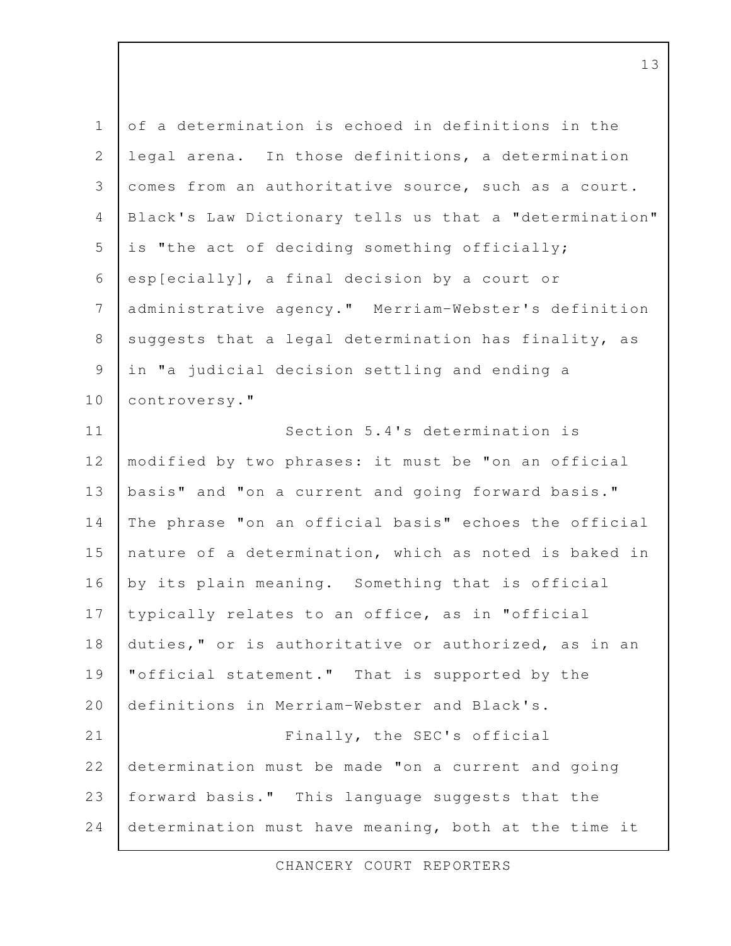| $1\,$          | of a determination is echoed in definitions in the     |
|----------------|--------------------------------------------------------|
| $\mathbf{2}$   | legal arena. In those definitions, a determination     |
| $\mathcal{S}$  | comes from an authoritative source, such as a court.   |
| $\overline{4}$ | Black's Law Dictionary tells us that a "determination" |
| 5              | is "the act of deciding something officially;          |
| 6              | esp[ecially], a final decision by a court or           |
| $\overline{7}$ | administrative agency." Merriam-Webster's definition   |
| $\,8\,$        | suggests that a legal determination has finality, as   |
| $\mathcal{G}$  | in "a judicial decision settling and ending a          |
| 10             | controversy."                                          |
| 11             | Section 5.4's determination is                         |
| 12             | modified by two phrases: it must be "on an official    |
| 13             | basis" and "on a current and going forward basis."     |
| 14             | The phrase "on an official basis" echoes the official  |
| 15             | nature of a determination, which as noted is baked in  |
| 16             | by its plain meaning. Something that is official       |
| 17             | typically relates to an office, as in "official        |
| 18             | duties," or is authoritative or authorized, as in an   |
| 19             | "official statement." That is supported by the         |
| 20             | definitions in Merriam-Webster and Black's.            |
| 21             | Finally, the SEC's official                            |
| 22             | determination must be made "on a current and going     |
| 23             | forward basis." This language suggests that the        |
| 24             | determination must have meaning, both at the time it   |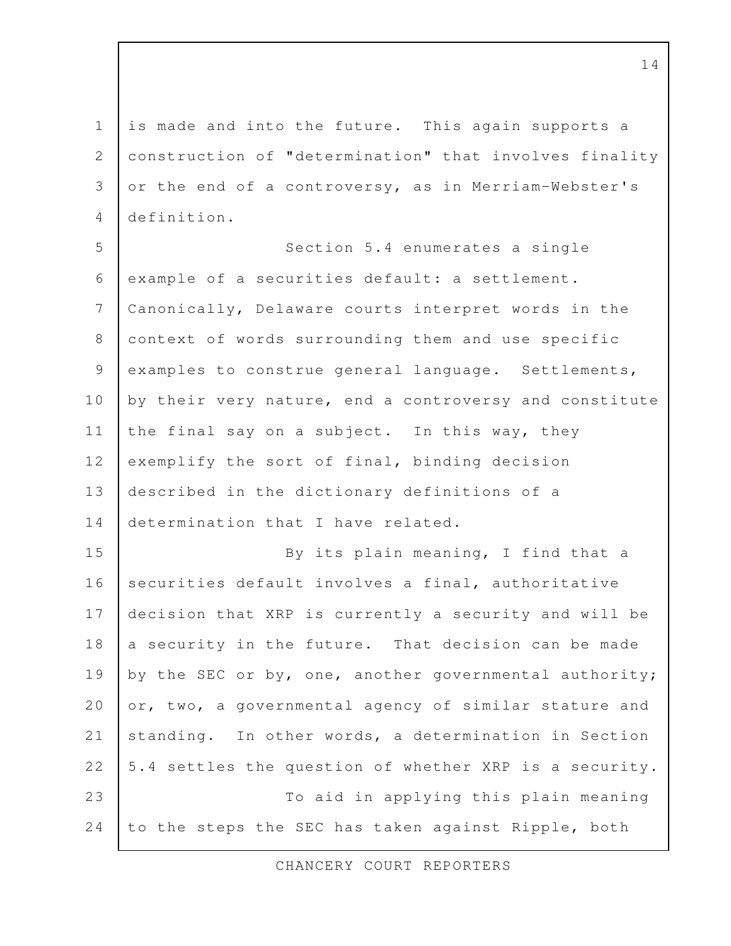is made and into the future. This again supports a construction of "determination" that involves finality or the end of a controversy, as in Merriam-Webster's definition. 1 2 3 4

Section 5.4 enumerates a single example of a securities default: a settlement. Canonically, Delaware courts interpret words in the context of words surrounding them and use specific examples to construe general language. Settlements, by their very nature, end a controversy and constitute the final say on a subject. In this way, they exemplify the sort of final, binding decision described in the dictionary definitions of a determination that I have related. By its plain meaning, I find that a securities default involves a final, authoritative decision that XRP is currently a security and will be a security in the future. That decision can be made by the SEC or by, one, another governmental authority; or, two, a governmental agency of similar stature and standing. In other words, a determination in Section 5.4 settles the question of whether XRP is a security. 5 6 7 8 9 10 11 12 13 14 15 16 17 18 19 20 21 22

To aid in applying this plain meaning 23

to the steps the SEC has taken against Ripple, both

24

CHANCERY COURT REPORTERS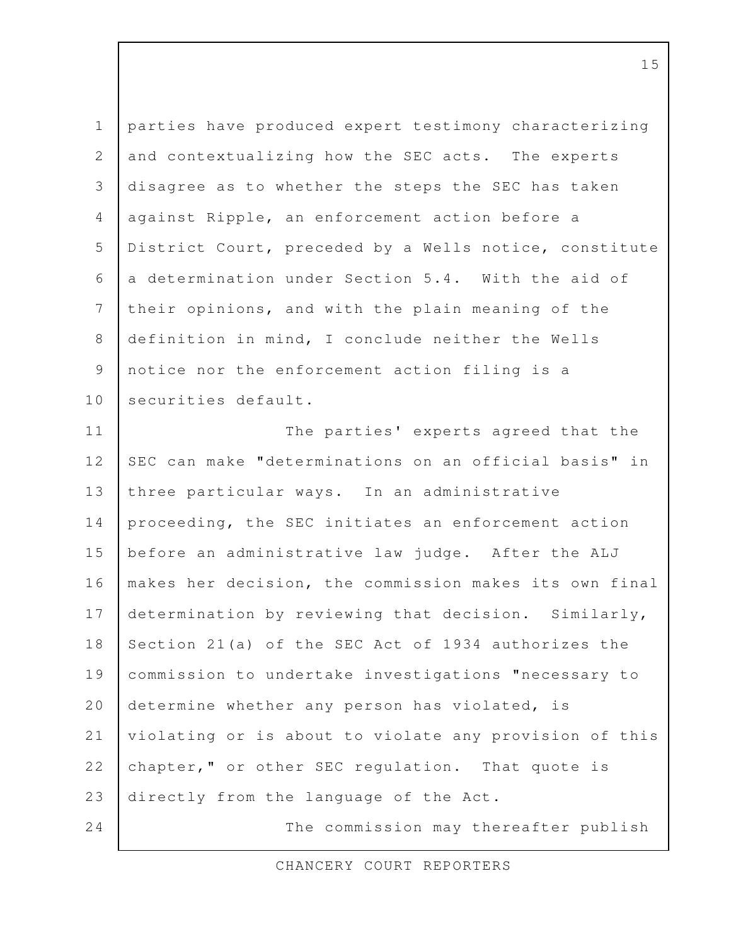parties have produced expert testimony characterizing and contextualizing how the SEC acts. The experts disagree as to whether the steps the SEC has taken against Ripple, an enforcement action before a District Court, preceded by a Wells notice, constitute a determination under Section 5.4. With the aid of their opinions, and with the plain meaning of the definition in mind, I conclude neither the Wells notice nor the enforcement action filing is a securities default. The parties' experts agreed that the SEC can make "determinations on an official basis" in three particular ways. In an administrative proceeding, the SEC initiates an enforcement action before an administrative law judge. After the ALJ makes her decision, the commission makes its own final determination by reviewing that decision. Similarly, Section 21(a) of the SEC Act of 1934 authorizes the commission to undertake investigations "necessary to determine whether any person has violated, is violating or is about to violate any provision of this chapter," or other SEC regulation. That quote is directly from the language of the Act. The commission may thereafter publish 1 2 3 4 5 6 7 8 9 10 11 12 13 14 15 16 17 18 19 20 21 22 23 24

CHANCERY COURT REPORTERS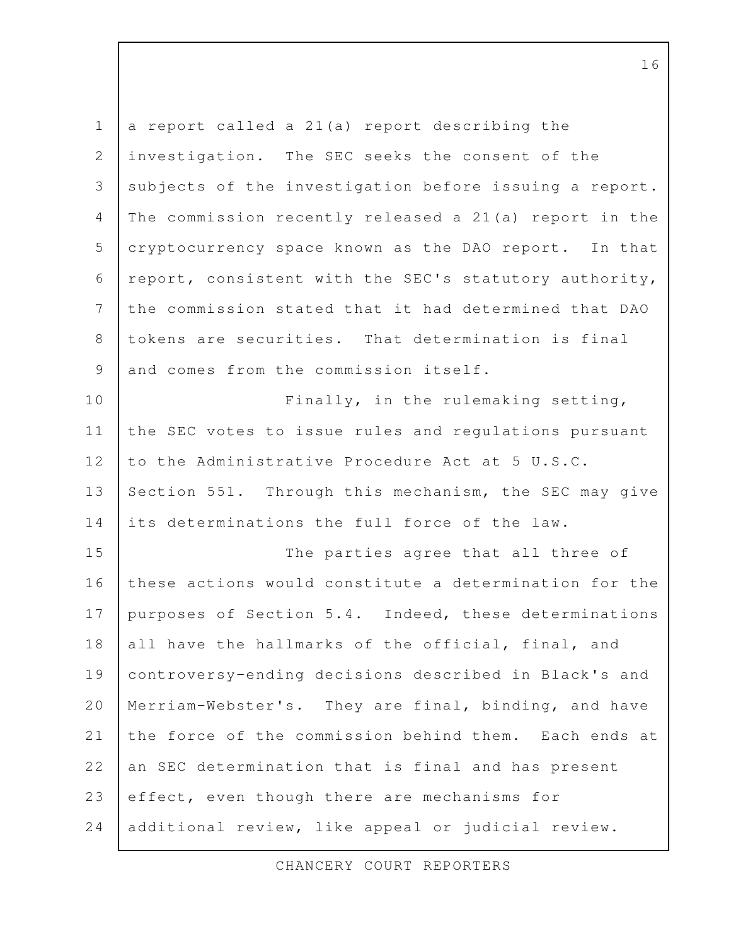a report called a 21(a) report describing the investigation. The SEC seeks the consent of the subjects of the investigation before issuing a report. The commission recently released a 21(a) report in the cryptocurrency space known as the DAO report. In that report, consistent with the SEC's statutory authority, the commission stated that it had determined that DAO tokens are securities. That determination is final and comes from the commission itself. Finally, in the rulemaking setting, the SEC votes to issue rules and regulations pursuant to the Administrative Procedure Act at 5 U.S.C. Section 551. Through this mechanism, the SEC may give its determinations the full force of the law. The parties agree that all three of these actions would constitute a determination for the purposes of Section 5.4. Indeed, these determinations all have the hallmarks of the official, final, and controversy-ending decisions described in Black's and Merriam-Webster's. They are final, binding, and have the force of the commission behind them. Each ends at an SEC determination that is final and has present effect, even though there are mechanisms for additional review, like appeal or judicial review. 1 2 3 4 5 6 7 8 9 10 11 12 13 14 15 16 17 18 19 20 21 22 23 24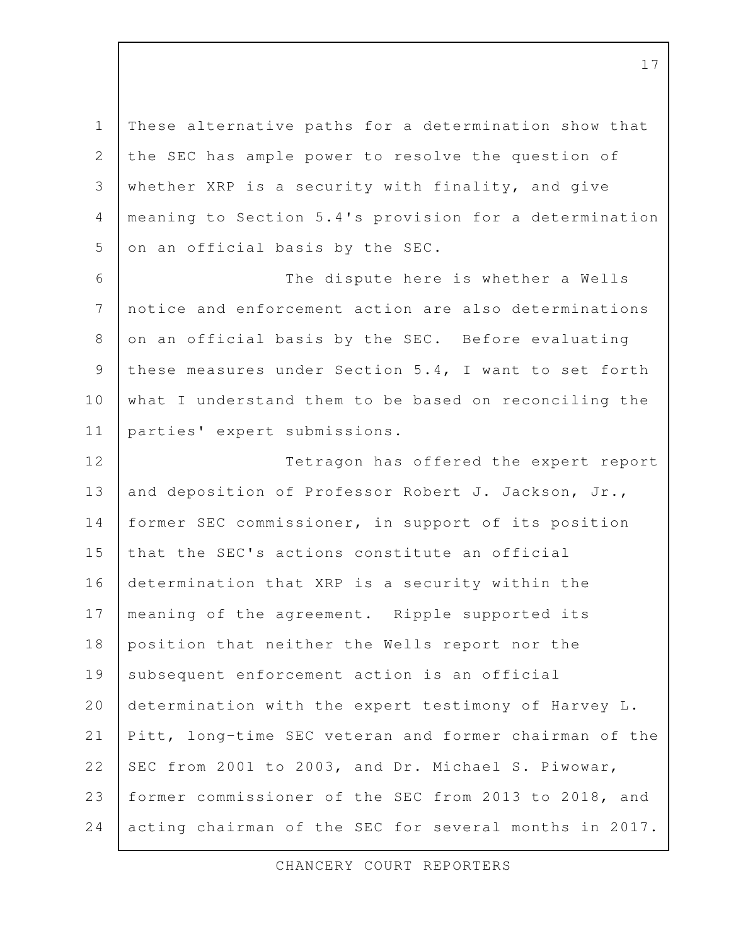These alternative paths for a determination show that the SEC has ample power to resolve the question of whether XRP is a security with finality, and give meaning to Section 5.4's provision for a determination on an official basis by the SEC. 1 2 3 4 5

The dispute here is whether a Wells notice and enforcement action are also determinations on an official basis by the SEC. Before evaluating these measures under Section 5.4, I want to set forth what I understand them to be based on reconciling the parties' expert submissions. 6 7 8 9 10 11

Tetragon has offered the expert report and deposition of Professor Robert J. Jackson, Jr., former SEC commissioner, in support of its position that the SEC's actions constitute an official determination that XRP is a security within the meaning of the agreement. Ripple supported its position that neither the Wells report nor the subsequent enforcement action is an official determination with the expert testimony of Harvey L. Pitt, long-time SEC veteran and former chairman of the SEC from 2001 to 2003, and Dr. Michael S. Piwowar, former commissioner of the SEC from 2013 to 2018, and acting chairman of the SEC for several months in 2017. 12 13 14 15 16 17 18 19 20 21 22 23 24

CHANCERY COURT REPORTERS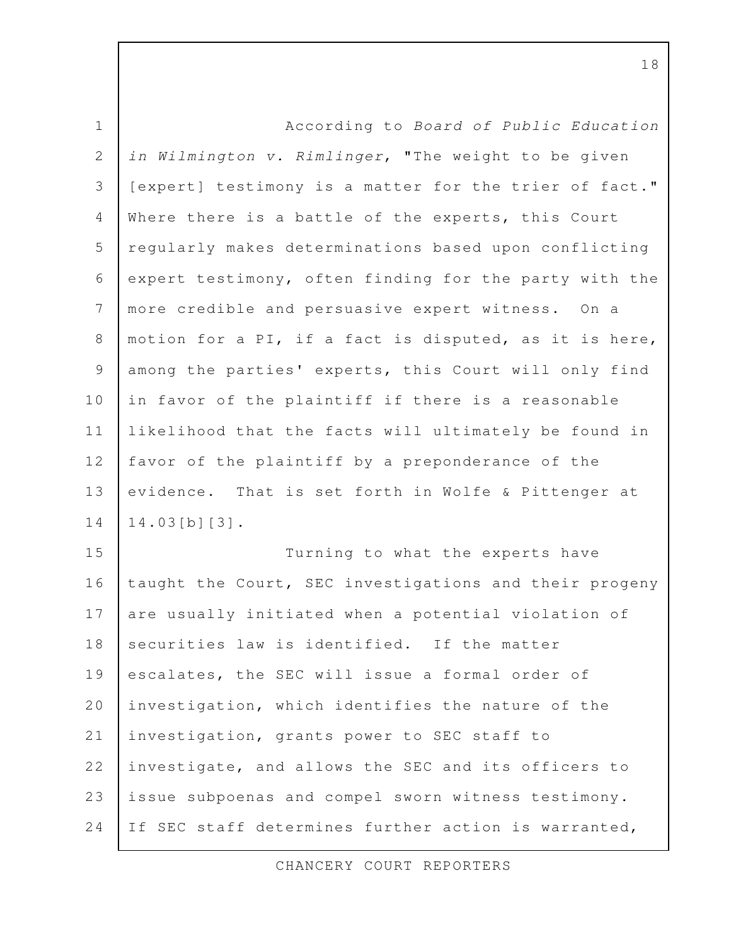| $\mathbf 1$    | According to Board of Public Education                 |
|----------------|--------------------------------------------------------|
| $\mathbf{2}$   | in Wilmington v. Rimlinger, "The weight to be given    |
| 3              | [expert] testimony is a matter for the trier of fact." |
| 4              | Where there is a battle of the experts, this Court     |
| 5              | regularly makes determinations based upon conflicting  |
| 6              | expert testimony, often finding for the party with the |
| 7              | more credible and persuasive expert witness. On a      |
| 8              | motion for a PI, if a fact is disputed, as it is here, |
| $\overline{9}$ | among the parties' experts, this Court will only find  |
| 10             | in favor of the plaintiff if there is a reasonable     |
| 11             | likelihood that the facts will ultimately be found in  |
| 12             | favor of the plaintiff by a preponderance of the       |
| 13             | evidence. That is set forth in Wolfe & Pittenger at    |
| 14             | $14.03[b][3]$ .                                        |
| 15             | Turning to what the experts have                       |
| 16             | taught the Court, SEC investigations and their progeny |
| 17             | are usually initiated when a potential violation of    |
| 18             | securities law is identified. If the matter            |
| 19             | escalates, the SEC will issue a formal order of        |
| 20             | investigation, which identifies the nature of the      |
| 21             | investigation, grants power to SEC staff to            |
| 22             | investigate, and allows the SEC and its officers to    |
| 23             | issue subpoenas and compel sworn witness testimony.    |

24 If SEC staff determines further action is warranted,

CHANCERY COURT REPORTERS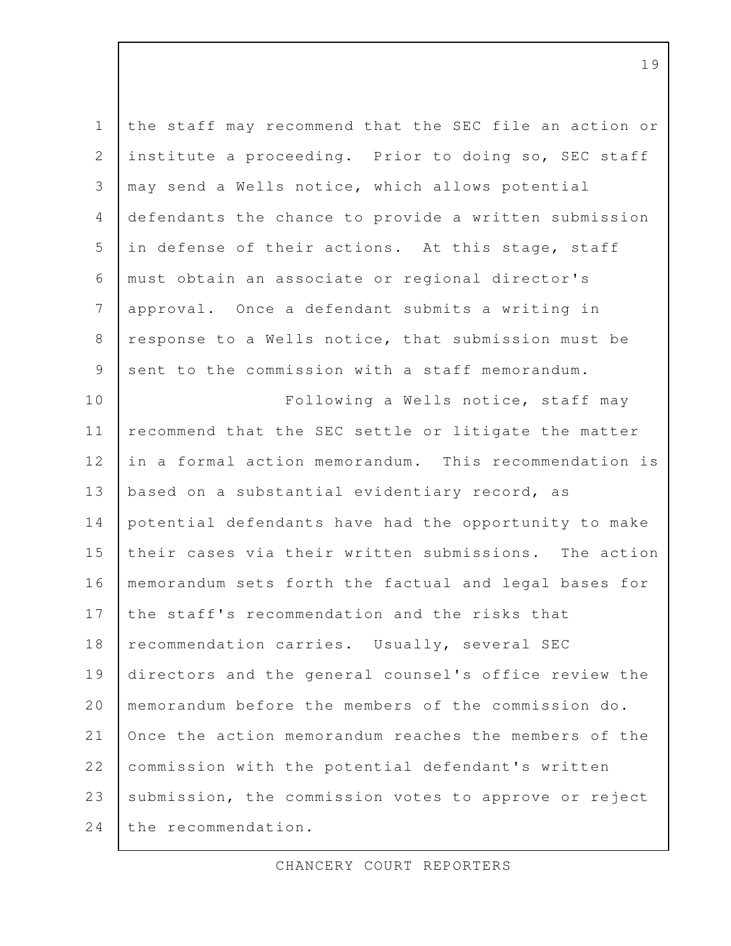| $1\,$                                                     | the staff may recommend that the SEC file an action or |
|-----------------------------------------------------------|--------------------------------------------------------|
| $\mathbf{2}$                                              | institute a proceeding. Prior to doing so, SEC staff   |
| $\mathcal{S}$                                             | may send a Wells notice, which allows potential        |
| $\overline{4}$                                            | defendants the chance to provide a written submission  |
| 5                                                         | in defense of their actions. At this stage, staff      |
| 6                                                         | must obtain an associate or regional director's        |
| $\overline{7}$                                            | approval. Once a defendant submits a writing in        |
| $\,8\,$                                                   | response to a Wells notice, that submission must be    |
| $\mathcal{G}% _{M_{1},M_{2}}^{\alpha,\beta}(\varepsilon)$ | sent to the commission with a staff memorandum.        |
| 10                                                        | Following a Wells notice, staff may                    |
| 11                                                        | recommend that the SEC settle or litigate the matter   |
| 12                                                        | in a formal action memorandum. This recommendation is  |
| 13                                                        | based on a substantial evidentiary record, as          |
| 14                                                        | potential defendants have had the opportunity to make  |
| 15                                                        | their cases via their written submissions. The action  |
| 16                                                        | memorandum sets forth the factual and legal bases for  |
| 17                                                        | the staff's recommendation and the risks that          |
| 18                                                        | recommendation carries. Usually, several SEC           |
| 19                                                        | directors and the general counsel's office review the  |
| 20                                                        | memorandum before the members of the commission do.    |
| 21                                                        | Once the action memorandum reaches the members of the  |
| 22                                                        | commission with the potential defendant's written      |
| 23                                                        | submission, the commission votes to approve or reject  |
| 24                                                        | the recommendation.                                    |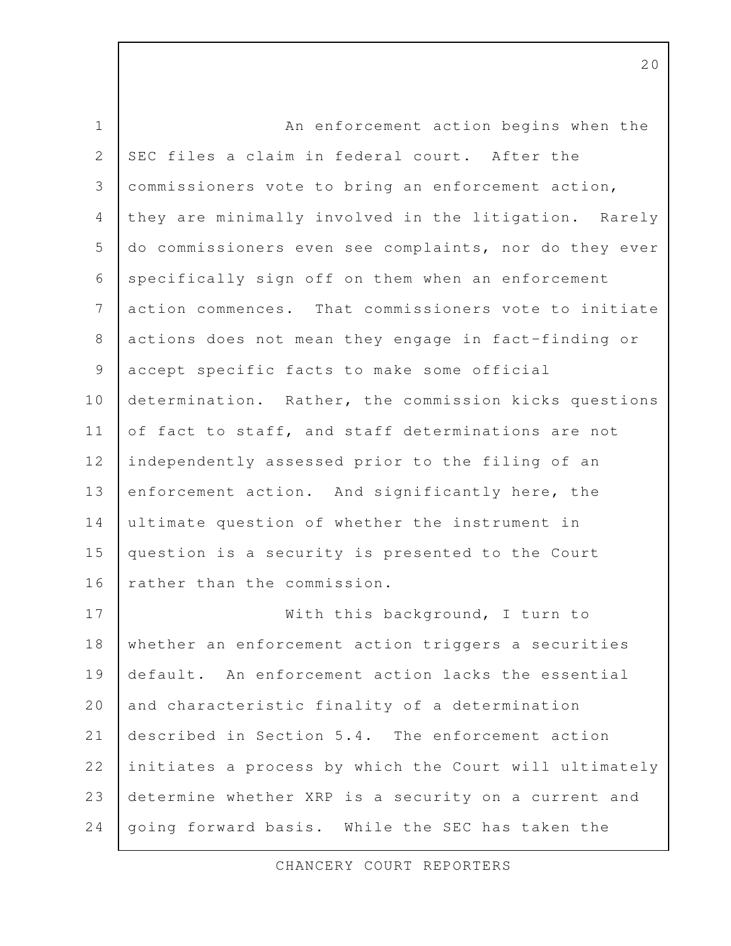An enforcement action begins when the SEC files a claim in federal court. After the commissioners vote to bring an enforcement action, they are minimally involved in the litigation. Rarely do commissioners even see complaints, nor do they ever specifically sign off on them when an enforcement action commences. That commissioners vote to initiate actions does not mean they engage in fact-finding or accept specific facts to make some official determination. Rather, the commission kicks questions of fact to staff, and staff determinations are not independently assessed prior to the filing of an enforcement action. And significantly here, the ultimate question of whether the instrument in question is a security is presented to the Court rather than the commission. With this background, I turn to whether an enforcement action triggers a securities default. An enforcement action lacks the essential and characteristic finality of a determination described in Section 5.4. The enforcement action initiates a process by which the Court will ultimately determine whether XRP is a security on a current and going forward basis. While the SEC has taken the 1 2 3 4 5 6 7 8 9 10 11 12 13 14 15 16 17 18 19 20 21 22 23 24

CHANCERY COURT REPORTERS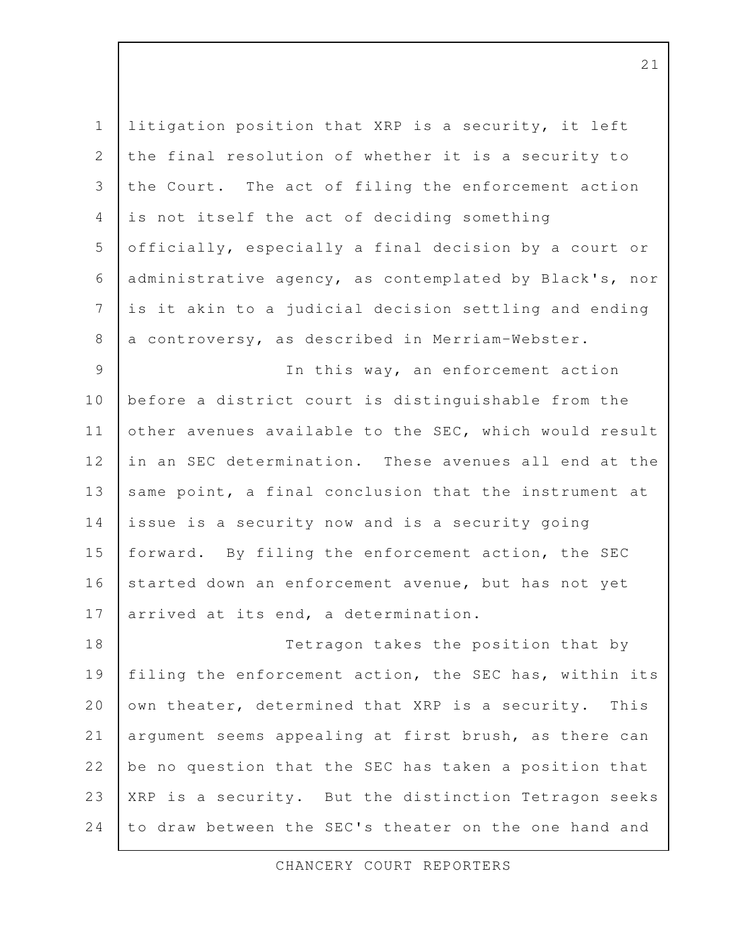litigation position that XRP is a security, it left the final resolution of whether it is a security to the Court. The act of filing the enforcement action is not itself the act of deciding something officially, especially a final decision by a court or administrative agency, as contemplated by Black's, nor is it akin to a judicial decision settling and ending a controversy, as described in Merriam-Webster. In this way, an enforcement action before a district court is distinguishable from the other avenues available to the SEC, which would result in an SEC determination. These avenues all end at the same point, a final conclusion that the instrument at issue is a security now and is a security going forward. By filing the enforcement action, the SEC started down an enforcement avenue, but has not yet arrived at its end, a determination. Tetragon takes the position that by 1 2 3 4 5 6 7 8 9 10 11 12 13 14 15 16 17 18

filing the enforcement action, the SEC has, within its own theater, determined that XRP is a security. This argument seems appealing at first brush, as there can be no question that the SEC has taken a position that XRP is a security. But the distinction Tetragon seeks to draw between the SEC's theater on the one hand and 19 20 21 22 23 24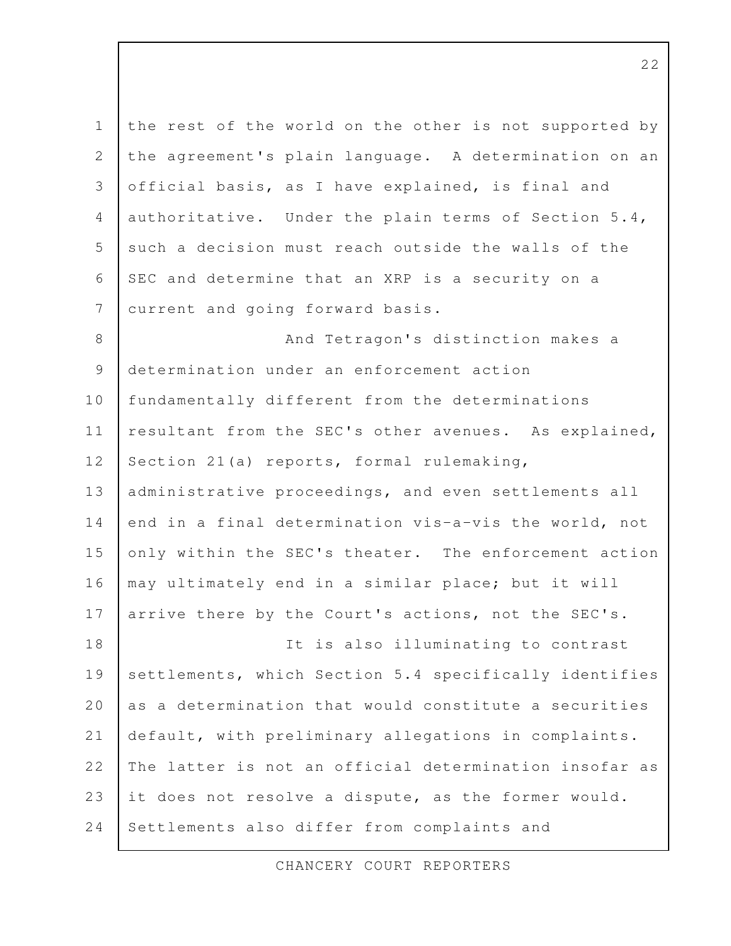the rest of the world on the other is not supported by the agreement's plain language. A determination on an official basis, as I have explained, is final and authoritative. Under the plain terms of Section 5.4, such a decision must reach outside the walls of the SEC and determine that an XRP is a security on a current and going forward basis. And Tetragon's distinction makes a determination under an enforcement action fundamentally different from the determinations resultant from the SEC's other avenues. As explained, Section 21(a) reports, formal rulemaking, administrative proceedings, and even settlements all end in a final determination vis-a-vis the world, not only within the SEC's theater. The enforcement action may ultimately end in a similar place; but it will arrive there by the Court's actions, not the SEC's. It is also illuminating to contrast settlements, which Section 5.4 specifically identifies as a determination that would constitute a securities default, with preliminary allegations in complaints. The latter is not an official determination insofar as it does not resolve a dispute, as the former would. Settlements also differ from complaints and 1 2 3 4 5 6 7 8 9 10 11 12 13 14 15 16 17 18 19 20 21 22 23 24

CHANCERY COURT REPORTERS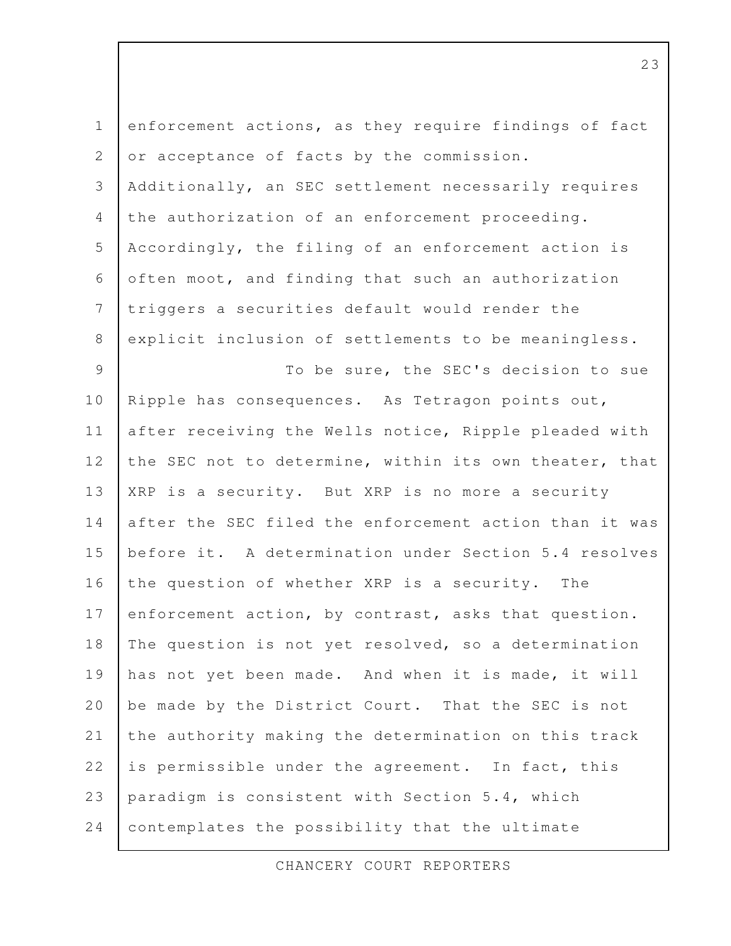| $\mathbf 1$    | enforcement actions, as they require findings of fact  |
|----------------|--------------------------------------------------------|
| 2              | or acceptance of facts by the commission.              |
| 3              | Additionally, an SEC settlement necessarily requires   |
| 4              | the authorization of an enforcement proceeding.        |
| 5              | Accordingly, the filing of an enforcement action is    |
| 6              | often moot, and finding that such an authorization     |
| $7\phantom{.}$ | triggers a securities default would render the         |
| $8\,$          | explicit inclusion of settlements to be meaningless.   |
| 9              | To be sure, the SEC's decision to sue                  |
| 10             | Ripple has consequences. As Tetragon points out,       |
| 11             | after receiving the Wells notice, Ripple pleaded with  |
| 12             | the SEC not to determine, within its own theater, that |
| 13             | XRP is a security. But XRP is no more a security       |
| 14             | after the SEC filed the enforcement action than it was |
| 15             | before it. A determination under Section 5.4 resolves  |
| 16             | the question of whether XRP is a security. The         |
| 17             | enforcement action, by contrast, asks that question.   |
| 18             | The question is not yet resolved, so a determination   |
| 19             | has not yet been made. And when it is made, it will    |
| 20             | be made by the District Court. That the SEC is not     |
| 21             | the authority making the determination on this track   |
| 22             | is permissible under the agreement. In fact, this      |
| 23             | paradigm is consistent with Section 5.4, which         |
| 24             | contemplates the possibility that the ultimate         |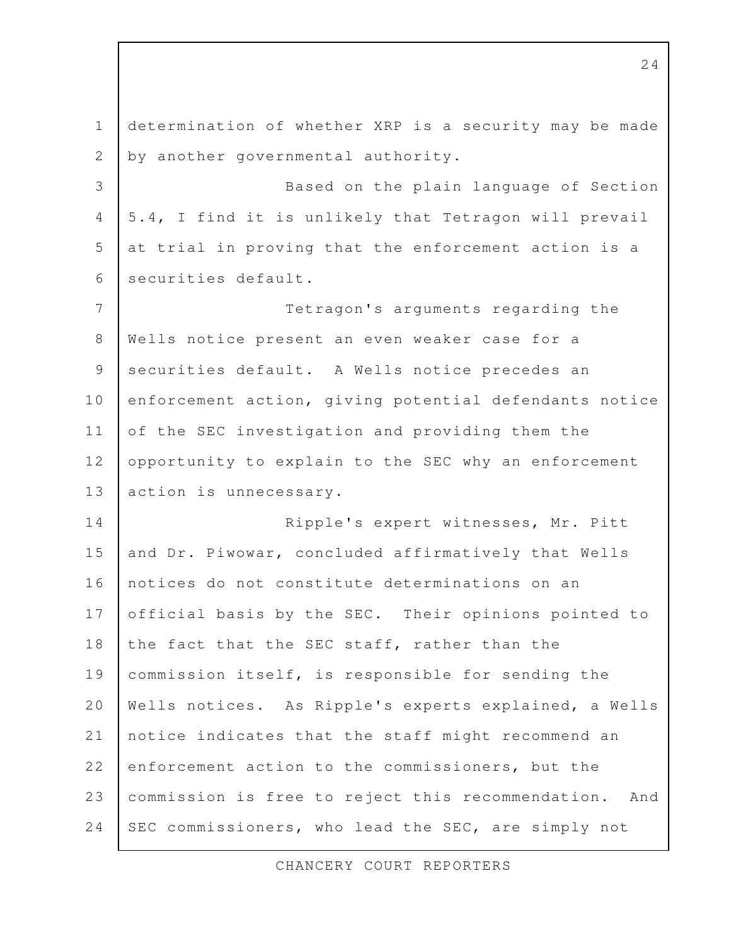determination of whether XRP is a security may be made by another governmental authority. Based on the plain language of Section 5.4, I find it is unlikely that Tetragon will prevail at trial in proving that the enforcement action is a securities default. Tetragon's arguments regarding the Wells notice present an even weaker case for a securities default. A Wells notice precedes an enforcement action, giving potential defendants notice of the SEC investigation and providing them the opportunity to explain to the SEC why an enforcement action is unnecessary. Ripple's expert witnesses, Mr. Pitt and Dr. Piwowar, concluded affirmatively that Wells notices do not constitute determinations on an official basis by the SEC. Their opinions pointed to the fact that the SEC staff, rather than the commission itself, is responsible for sending the Wells notices. As Ripple's experts explained, a Wells notice indicates that the staff might recommend an enforcement action to the commissioners, but the commission is free to reject this recommendation. And SEC commissioners, who lead the SEC, are simply not 1 2 3 4 5 6 7 8 9 10 11 12 13 14 15 16 17 18 19 20 21 22 23 24

CHANCERY COURT REPORTERS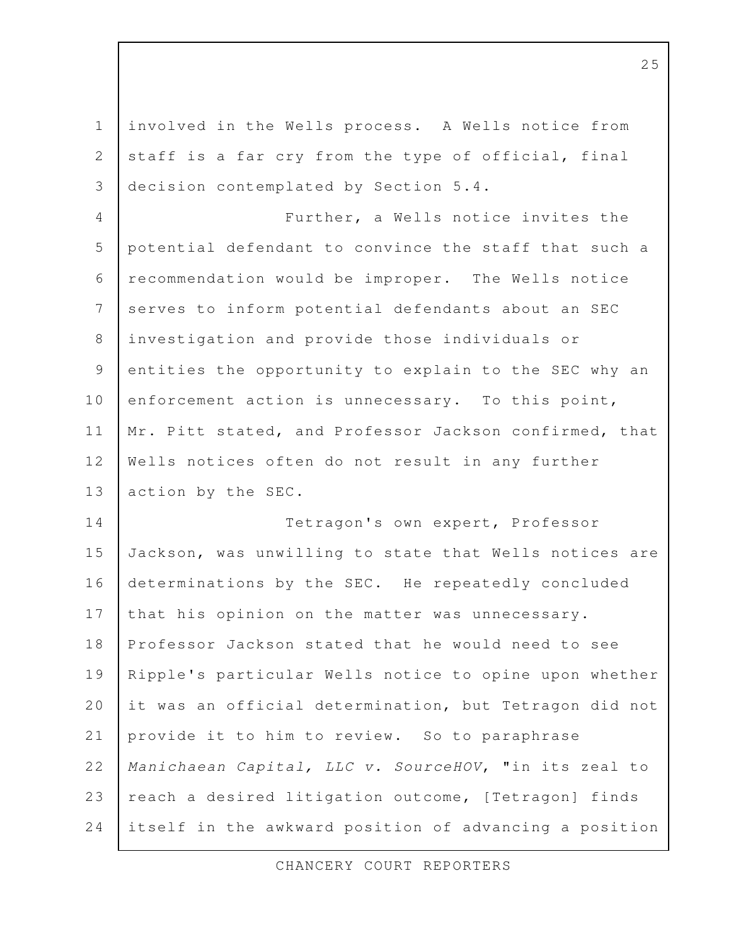involved in the Wells process. A Wells notice from staff is a far cry from the type of official, final decision contemplated by Section 5.4. Further, a Wells notice invites the potential defendant to convince the staff that such a recommendation would be improper. The Wells notice serves to inform potential defendants about an SEC investigation and provide those individuals or entities the opportunity to explain to the SEC why an enforcement action is unnecessary. To this point, Mr. Pitt stated, and Professor Jackson confirmed, that Wells notices often do not result in any further action by the SEC. Tetragon's own expert, Professor Jackson, was unwilling to state that Wells notices are determinations by the SEC. He repeatedly concluded that his opinion on the matter was unnecessary. Professor Jackson stated that he would need to see Ripple's particular Wells notice to opine upon whether it was an official determination, but Tetragon did not provide it to him to review. So to paraphrase Manichaean Capital, LLC v. SourceHOV, "in its zeal to reach a desired litigation outcome, [Tetragon] finds itself in the awkward position of advancing a position 1 2 3 4 5 6 7 8 9 10 11 12 13 14 15 16 17 18 19 20 21 22 23 24

CHANCERY COURT REPORTERS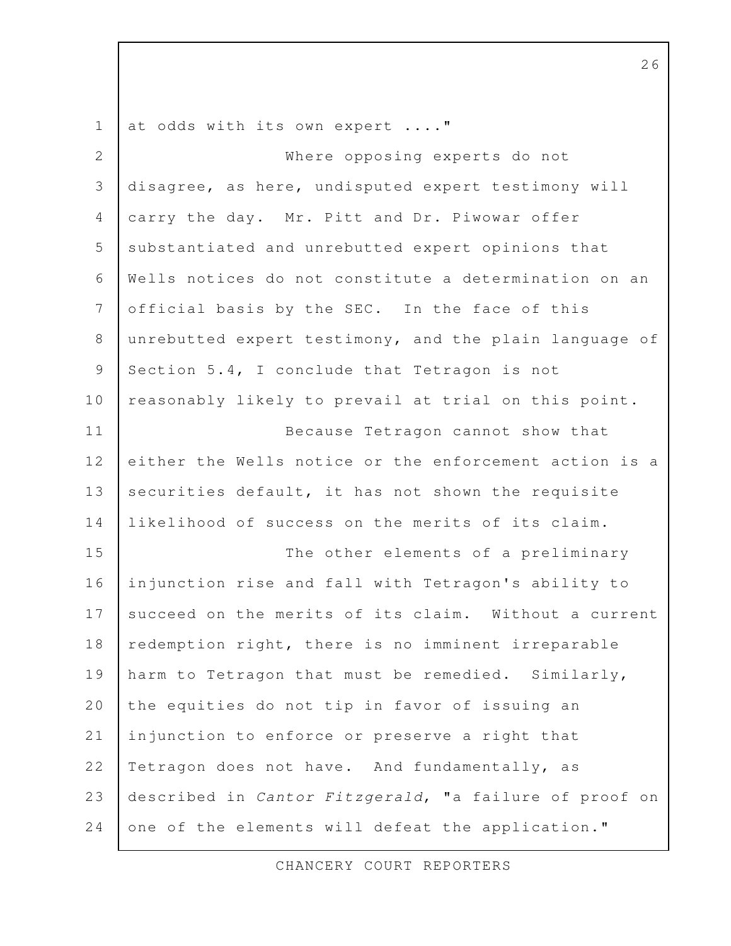at odds with its own expert ...." Where opposing experts do not disagree, as here, undisputed expert testimony will carry the day. Mr. Pitt and Dr. Piwowar offer substantiated and unrebutted expert opinions that Wells notices do not constitute a determination on an official basis by the SEC. In the face of this unrebutted expert testimony, and the plain language of Section 5.4, I conclude that Tetragon is not reasonably likely to prevail at trial on this point. Because Tetragon cannot show that either the Wells notice or the enforcement action is a securities default, it has not shown the requisite likelihood of success on the merits of its claim. The other elements of a preliminary injunction rise and fall with Tetragon's ability to succeed on the merits of its claim. Without a current redemption right, there is no imminent irreparable harm to Tetragon that must be remedied. Similarly, the equities do not tip in favor of issuing an injunction to enforce or preserve a right that Tetragon does not have. And fundamentally, as described in Cantor Fitzgerald, "a failure of proof on one of the elements will defeat the application." 1 2 3 4 5 6 7 8 9 10 11 12 13 14 15 16 17 18 19 20 21 22 23 24

26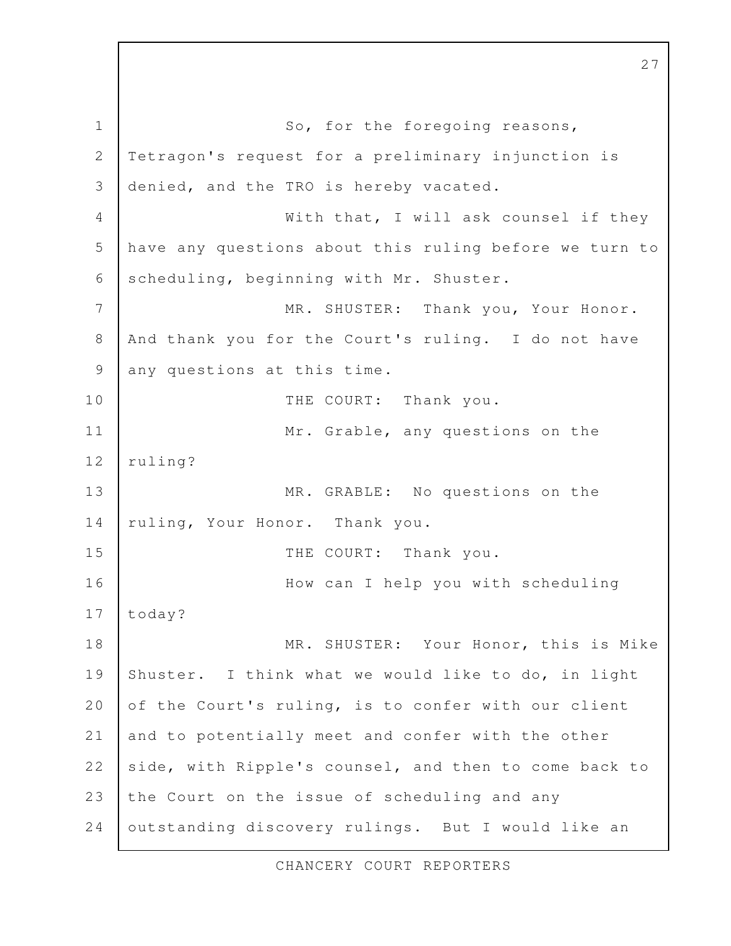So, for the foregoing reasons, Tetragon's request for a preliminary injunction is denied, and the TRO is hereby vacated. With that, I will ask counsel if they have any questions about this ruling before we turn to scheduling, beginning with Mr. Shuster. MR. SHUSTER: Thank you, Your Honor. And thank you for the Court's ruling. I do not have any questions at this time. THE COURT: Thank you. Mr. Grable, any questions on the ruling? MR. GRABLE: No questions on the ruling, Your Honor. Thank you. THE COURT: Thank you. How can I help you with scheduling today? MR. SHUSTER: Your Honor, this is Mike Shuster. I think what we would like to do, in light of the Court's ruling, is to confer with our client and to potentially meet and confer with the other side, with Ripple's counsel, and then to come back to the Court on the issue of scheduling and any outstanding discovery rulings. But I would like an 1 2 3 4 5 6 7 8 9 10 11 12 13 14 15 16 17 18 19 20 21 22 23 24

27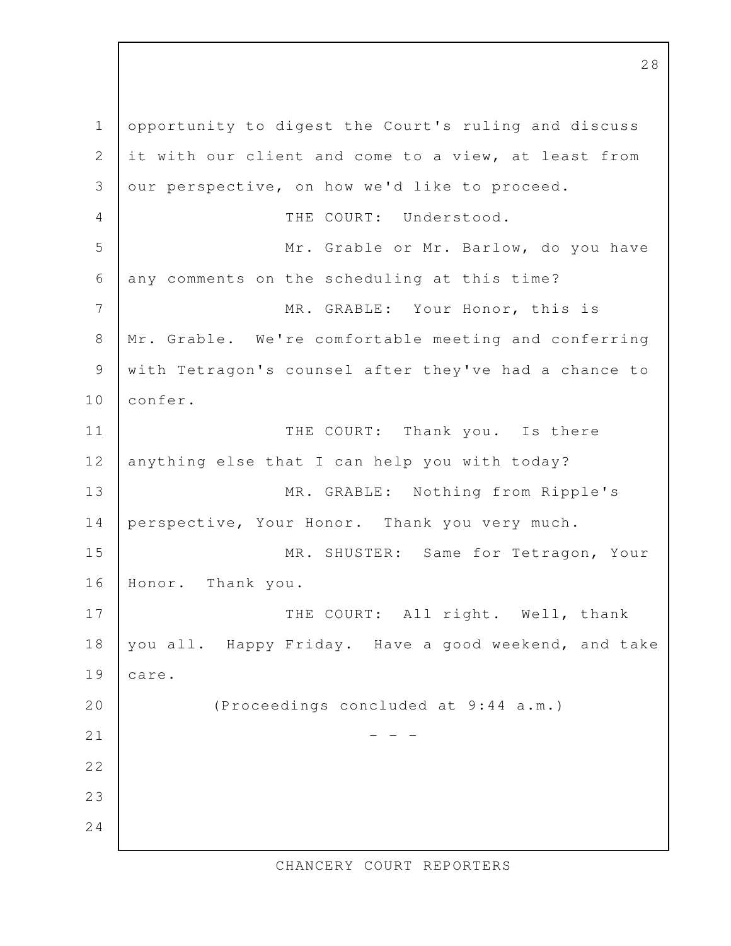opportunity to digest the Court's ruling and discuss it with our client and come to a view, at least from our perspective, on how we'd like to proceed. THE COURT: Understood. Mr. Grable or Mr. Barlow, do you have any comments on the scheduling at this time? MR. GRABLE: Your Honor, this is Mr. Grable. We're comfortable meeting and conferring with Tetragon's counsel after they've had a chance to confer. THE COURT: Thank you. Is there anything else that I can help you with today? MR. GRABLE: Nothing from Ripple's perspective, Your Honor. Thank you very much. MR. SHUSTER: Same for Tetragon, Your Honor. Thank you. THE COURT: All right. Well, thank you all. Happy Friday. Have a good weekend, and take care. (Proceedings concluded at 9:44 a.m.)  $-$  1 2 3 4 5 6 7 8 9 10 11 12 13 14 15 16 17 18 19 20 21 22 23 24